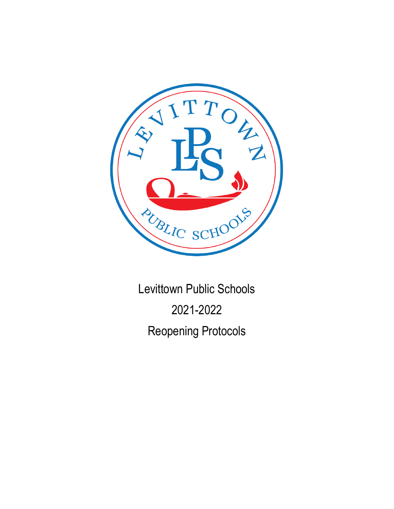

Levittown Public Schools 2021-2022 Reopening Protocols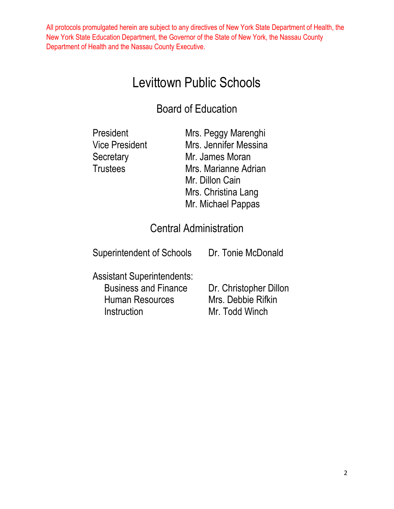# Levittown Public Schools

# Board of Education

| President      | Mrs. Peggy Marenghi   |
|----------------|-----------------------|
| Vice President | Mrs. Jennifer Messina |
| Secretary      | Mr. James Moran       |
| Trustees       | Mrs. Marianne Adrian  |
|                | Mr. Dillon Cain       |
|                | Mrs. Christina Lang   |
|                | Mr. Michael Pappas    |

## Central Administration

Superintendent of Schools Dr. Tonie McDonald

Assistant Superintendents: Business and Finance Dr. Christopher Dillon Human Resources Mrs. Debbie Rifkin Instruction Mr. Todd Winch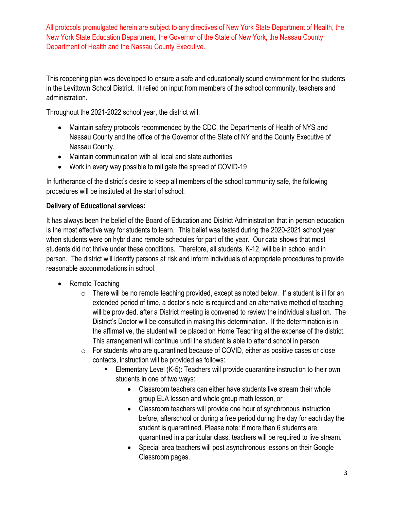This reopening plan was developed to ensure a safe and educationally sound environment for the students in the Levittown School District. It relied on input from members of the school community, teachers and administration.

Throughout the 2021-2022 school year, the district will:

- Maintain safety protocols recommended by the CDC, the Departments of Health of NYS and Nassau County and the office of the Governor of the State of NY and the County Executive of Nassau County.
- Maintain communication with all local and state authorities
- Work in every way possible to mitigate the spread of COVID-19

In furtherance of the district's desire to keep all members of the school community safe, the following procedures will be instituted at the start of school:

#### **Delivery of Educational services:**

It has always been the belief of the Board of Education and District Administration that in person education is the most effective way for students to learn. This belief was tested during the 2020-2021 school year when students were on hybrid and remote schedules for part of the year. Our data shows that most students did not thrive under these conditions. Therefore, all students, K-12, will be in school and in person. The district will identify persons at risk and inform individuals of appropriate procedures to provide reasonable accommodations in school.

- Remote Teaching
	- $\circ$  There will be no remote teaching provided, except as noted below. If a student is ill for an extended period of time, a doctor's note is required and an alternative method of teaching will be provided, after a District meeting is convened to review the individual situation. The District's Doctor will be consulted in making this determination. If the determination is in the affirmative, the student will be placed on Home Teaching at the expense of the district. This arrangement will continue until the student is able to attend school in person.
	- o For students who are quarantined because of COVID, either as positive cases or close contacts, instruction will be provided as follows:
		- Elementary Level (K-5): Teachers will provide quarantine instruction to their own students in one of two ways:
			- Classroom teachers can either have students live stream their whole group ELA lesson and whole group math lesson, or
			- Classroom teachers will provide one hour of synchronous instruction before, afterschool or during a free period during the day for each day the student is quarantined. Please note: if more than 6 students are quarantined in a particular class, teachers will be required to live stream.
			- Special area teachers will post asynchronous lessons on their Google Classroom pages.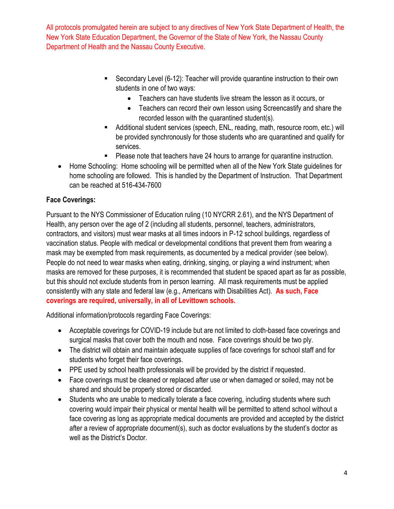- Secondary Level (6-12): Teacher will provide quarantine instruction to their own students in one of two ways:
	- Teachers can have students live stream the lesson as it occurs, or
	- Teachers can record their own lesson using Screencastify and share the recorded lesson with the quarantined student(s).
- Additional student services (speech, ENL, reading, math, resource room, etc.) will be provided synchronously for those students who are quarantined and qualify for services.
- **Please note that teachers have 24 hours to arrange for quarantine instruction.**
- Home Schooling: Home schooling will be permitted when all of the New York State guidelines for home schooling are followed. This is handled by the Department of Instruction. That Department can be reached at 516-434-7600

### **Face Coverings:**

Pursuant to the NYS Commissioner of Education ruling (10 NYCRR 2.61), and the NYS Department of Health, any person over the age of 2 (including all students, personnel, teachers, administrators, contractors, and visitors) must wear masks at all times indoors in P-12 school buildings, regardless of vaccination status. People with medical or developmental conditions that prevent them from wearing a mask may be exempted from mask requirements, as documented by a medical provider (see below). People do not need to wear masks when eating, drinking, singing, or playing a wind instrument; when masks are removed for these purposes, it is recommended that student be spaced apart as far as possible, but this should not exclude students from in person learning. All mask requirements must be applied consistently with any state and federal law (e.g., Americans with Disabilities Act). **As such, Face coverings are required, universally, in all of Levittown schools.** 

Additional information/protocols regarding Face Coverings:

- Acceptable coverings for COVID-19 include but are not limited to cloth-based face coverings and surgical masks that cover both the mouth and nose. Face coverings should be two ply.
- The district will obtain and maintain adequate supplies of face coverings for school staff and for students who forget their face coverings.
- PPE used by school health professionals will be provided by the district if requested.
- Face coverings must be cleaned or replaced after use or when damaged or soiled, may not be shared and should be properly stored or discarded.
- Students who are unable to medically tolerate a face covering, including students where such covering would impair their physical or mental health will be permitted to attend school without a face covering as long as appropriate medical documents are provided and accepted by the district after a review of appropriate document(s), such as doctor evaluations by the student's doctor as well as the District's Doctor.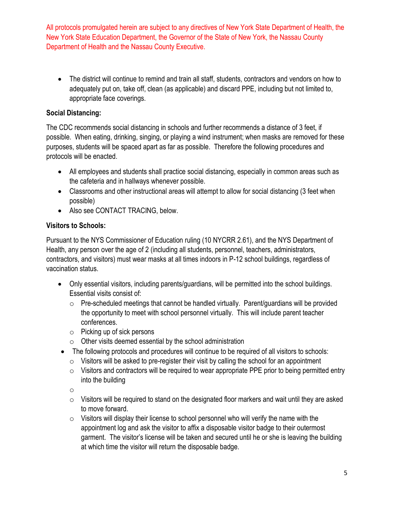The district will continue to remind and train all staff, students, contractors and vendors on how to adequately put on, take off, clean (as applicable) and discard PPE, including but not limited to, appropriate face coverings.

#### **Social Distancing:**

The CDC recommends social distancing in schools and further recommends a distance of 3 feet, if possible. When eating, drinking, singing, or playing a wind instrument; when masks are removed for these purposes, students will be spaced apart as far as possible. Therefore the following procedures and protocols will be enacted.

- All employees and students shall practice social distancing, especially in common areas such as the cafeteria and in hallways whenever possible.
- Classrooms and other instructional areas will attempt to allow for social distancing (3 feet when possible)
- Also see CONTACT TRACING, below.

#### **Visitors to Schools:**

Pursuant to the NYS Commissioner of Education ruling (10 NYCRR 2.61), and the NYS Department of Health, any person over the age of 2 (including all students, personnel, teachers, administrators, contractors, and visitors) must wear masks at all times indoors in P-12 school buildings, regardless of vaccination status.

- Only essential visitors, including parents/guardians, will be permitted into the school buildings. Essential visits consist of:
	- $\circ$  Pre-scheduled meetings that cannot be handled virtually. Parent/guardians will be provided the opportunity to meet with school personnel virtually. This will include parent teacher conferences.
	- o Picking up of sick persons
	- $\circ$  Other visits deemed essential by the school administration
- The following protocols and procedures will continue to be required of all visitors to schools:
	- $\circ$  Visitors will be asked to pre-register their visit by calling the school for an appointment
	- $\circ$  Visitors and contractors will be required to wear appropriate PPE prior to being permitted entry into the building

o

- $\circ$  Visitors will be required to stand on the designated floor markers and wait until they are asked to move forward.
- $\circ$  Visitors will display their license to school personnel who will verify the name with the appointment log and ask the visitor to affix a disposable visitor badge to their outermost garment. The visitor's license will be taken and secured until he or she is leaving the building at which time the visitor will return the disposable badge.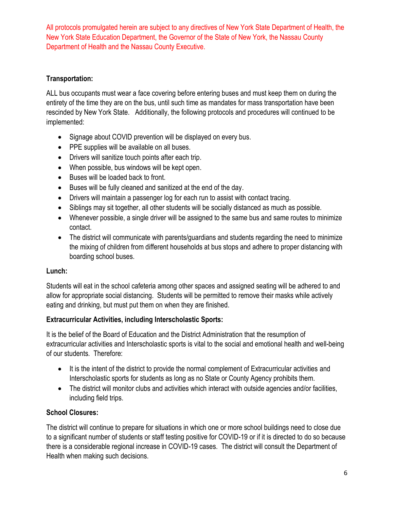### **Transportation:**

ALL bus occupants must wear a face covering before entering buses and must keep them on during the entirety of the time they are on the bus, until such time as mandates for mass transportation have been rescinded by New York State. Additionally, the following protocols and procedures will continued to be implemented:

- Signage about COVID prevention will be displayed on every bus.
- PPE supplies will be available on all buses.
- Drivers will sanitize touch points after each trip.
- When possible, bus windows will be kept open.
- Buses will be loaded back to front.
- Buses will be fully cleaned and sanitized at the end of the day.
- Drivers will maintain a passenger log for each run to assist with contact tracing.
- Siblings may sit together, all other students will be socially distanced as much as possible.
- Whenever possible, a single driver will be assigned to the same bus and same routes to minimize contact.
- The district will communicate with parents/quardians and students regarding the need to minimize the mixing of children from different households at bus stops and adhere to proper distancing with boarding school buses.

#### **Lunch:**

Students will eat in the school cafeteria among other spaces and assigned seating will be adhered to and allow for appropriate social distancing. Students will be permitted to remove their masks while actively eating and drinking, but must put them on when they are finished.

#### **Extracurricular Activities, including Interscholastic Sports:**

It is the belief of the Board of Education and the District Administration that the resumption of extracurricular activities and Interscholastic sports is vital to the social and emotional health and well-being of our students. Therefore:

- It is the intent of the district to provide the normal complement of Extracurricular activities and Interscholastic sports for students as long as no State or County Agency prohibits them.
- The district will monitor clubs and activities which interact with outside agencies and/or facilities, including field trips.

#### **School Closures:**

The district will continue to prepare for situations in which one or more school buildings need to close due to a significant number of students or staff testing positive for COVID-19 or if it is directed to do so because there is a considerable regional increase in COVID-19 cases. The district will consult the Department of Health when making such decisions.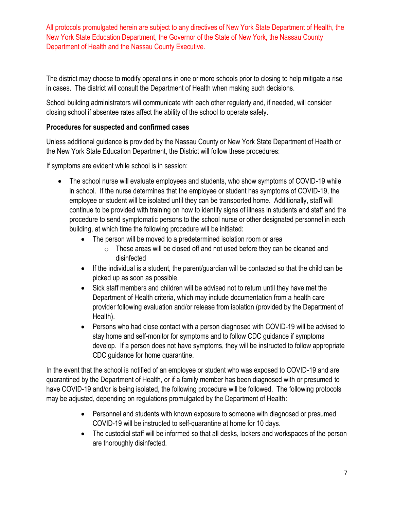The district may choose to modify operations in one or more schools prior to closing to help mitigate a rise in cases. The district will consult the Department of Health when making such decisions.

School building administrators will communicate with each other regularly and, if needed, will consider closing school if absentee rates affect the ability of the school to operate safely.

#### **Procedures for suspected and confirmed cases**

Unless additional guidance is provided by the Nassau County or New York State Department of Health or the New York State Education Department, the District will follow these procedures:

If symptoms are evident while school is in session:

- The school nurse will evaluate employees and students, who show symptoms of COVID-19 while in school. If the nurse determines that the employee or student has symptoms of COVID-19, the employee or student will be isolated until they can be transported home. Additionally, staff will continue to be provided with training on how to identify signs of illness in students and staff and the procedure to send symptomatic persons to the school nurse or other designated personnel in each building, at which time the following procedure will be initiated:
	- The person will be moved to a predetermined isolation room or area
		- $\circ$  These areas will be closed off and not used before they can be cleaned and disinfected
	- If the individual is a student, the parent/guardian will be contacted so that the child can be picked up as soon as possible.
	- Sick staff members and children will be advised not to return until they have met the Department of Health criteria, which may include documentation from a health care provider following evaluation and/or release from isolation (provided by the Department of Health).
	- Persons who had close contact with a person diagnosed with COVID-19 will be advised to stay home and self-monitor for symptoms and to follow CDC guidance if symptoms develop. If a person does not have symptoms, they will be instructed to follow appropriate CDC guidance for home quarantine.

In the event that the school is notified of an employee or student who was exposed to COVID-19 and are quarantined by the Department of Health, or if a family member has been diagnosed with or presumed to have COVID-19 and/or is being isolated, the following procedure will be followed. The following protocols may be adjusted, depending on regulations promulgated by the Department of Health:

- Personnel and students with known exposure to someone with diagnosed or presumed COVID-19 will be instructed to self-quarantine at home for 10 days.
- The custodial staff will be informed so that all desks, lockers and workspaces of the person are thoroughly disinfected.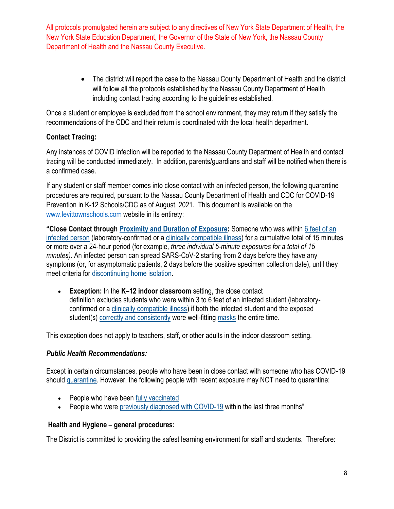> The district will report the case to the Nassau County Department of Health and the district will follow all the protocols established by the Nassau County Department of Health including contact tracing according to the guidelines established.

Once a student or employee is excluded from the school environment, they may return if they satisfy the recommendations of the CDC and their return is coordinated with the local health department.

#### **Contact Tracing:**

Any instances of COVID infection will be reported to the Nassau County Department of Health and contact tracing will be conducted immediately. In addition, parents/guardians and staff will be notified when there is a confirmed case.

If any student or staff member comes into close contact with an infected person, the following quarantine procedures are required, pursuant to the Nassau County Department of Health and CDC for COVID-19 Prevention in K-12 Schools/CDC as of August, 2021. This document is available on the [www.levittownschools.com](http://www.levittownschools.com/) website in its entirety:

**"Close Contact through [Proximity and Duration of Exposure:](https://www.cdc.gov/coronavirus/2019-ncov/science/science-briefs/sars-cov-2-transmission.html)** Someone who was within [6 feet of an](https://www.cdc.gov/coronavirus/2019-ncov/prevent-getting-sick/prevention.html#stay6ft)  [infected person](https://www.cdc.gov/coronavirus/2019-ncov/prevent-getting-sick/prevention.html#stay6ft) (laboratory-confirmed or a [clinically compatible illness\)](https://www.cdc.gov/coronavirus/2019-ncov/hcp/clinical-guidance-management-patients.html) for a cumulative total of 15 minutes or more over a 24-hour period (for example*, three individual 5-minute exposures for a total of 15 minutes).* An infected person can spread SARS-CoV-2 starting from 2 days before they have any symptoms (or, for asymptomatic patients, 2 days before the positive specimen collection date), until they meet criteria for [discontinuing home isolation.](https://www.cdc.gov/coronavirus/2019-ncov/hcp/duration-isolation.html)

 **Exception:** In the **K–12 indoor classroom** setting, the close contact definition excludes students who were within 3 to 6 feet of an infected student (laboratoryconfirmed or a [clinically compatible illness\)](https://www.cdc.gov/coronavirus/2019-ncov/hcp/clinical-guidance-management-patients.html) if both the infected student and the exposed student(s) [correctly and consistently](https://www.cdc.gov/coronavirus/2019-ncov/your-health/effective-masks.html) wore well-fitting [masks](https://www.cdc.gov/coronavirus/2019-ncov/community/schools-childcare/cloth-face-cover.html) the entire time.

This exception does not apply to teachers, staff, or other adults in the indoor classroom setting.

#### *Public Health Recommendations:*

Except in certain circumstances, people who have been in close contact with someone who has COVID-19 should [quarantine.](https://www.cdc.gov/coronavirus/2019-ncov/if-you-are-sick/quarantine.html) However, the following people with recent exposure may NOT need to quarantine:

- People who have been [fully vaccinated](https://www.cdc.gov/coronavirus/2019-ncov/vaccines/fully-vaccinated.html)
- People who were [previously diagnosed with COVID-19](https://www.cdc.gov/coronavirus/2019-ncov/if-you-are-sick/quarantine.html) within the last three months"

#### **Health and Hygiene – general procedures:**

The District is committed to providing the safest learning environment for staff and students. Therefore: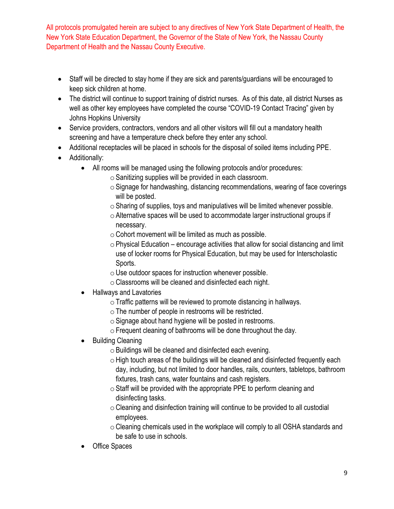- Staff will be directed to stay home if they are sick and parents/guardians will be encouraged to keep sick children at home.
- The district will continue to support training of district nurses. As of this date, all district Nurses as well as other key employees have completed the course "COVID-19 Contact Tracing" given by Johns Hopkins University
- Service providers, contractors, vendors and all other visitors will fill out a mandatory health screening and have a temperature check before they enter any school.
- Additional receptacles will be placed in schools for the disposal of soiled items including PPE.
- Additionally:
	- All rooms will be managed using the following protocols and/or procedures:
		- $\circ$  Sanitizing supplies will be provided in each classroom.
		- $\circ$  Signage for handwashing, distancing recommendations, wearing of face coverings will be posted.
		- $\circ$  Sharing of supplies, toys and manipulatives will be limited whenever possible.
		- $\circ$  Alternative spaces will be used to accommodate larger instructional groups if necessary.
		- $\circ$  Cohort movement will be limited as much as possible.
		- $\circ$  Physical Education encourage activities that allow for social distancing and limit use of locker rooms for Physical Education, but may be used for Interscholastic Sports.
		- $\circ$  Use outdoor spaces for instruction whenever possible.
		- $\circ$  Classrooms will be cleaned and disinfected each night.
	- Hallways and Lavatories
		- $\circ$  Traffic patterns will be reviewed to promote distancing in hallways.
		- $\circ$  The number of people in restrooms will be restricted.
		- $\circ$  Signage about hand hygiene will be posted in restrooms.
		- $\circ$  Frequent cleaning of bathrooms will be done throughout the day.
	- Building Cleaning
		- $\circ$  Buildings will be cleaned and disinfected each evening.
		- $\circ$  High touch areas of the buildings will be cleaned and disinfected frequently each day, including, but not limited to door handles, rails, counters, tabletops, bathroom fixtures, trash cans, water fountains and cash registers.
		- $\circ$  Staff will be provided with the appropriate PPE to perform cleaning and disinfecting tasks.
		- $\circ$  Cleaning and disinfection training will continue to be provided to all custodial employees.
		- $\circ$  Cleaning chemicals used in the workplace will comply to all OSHA standards and be safe to use in schools.
	- Office Spaces